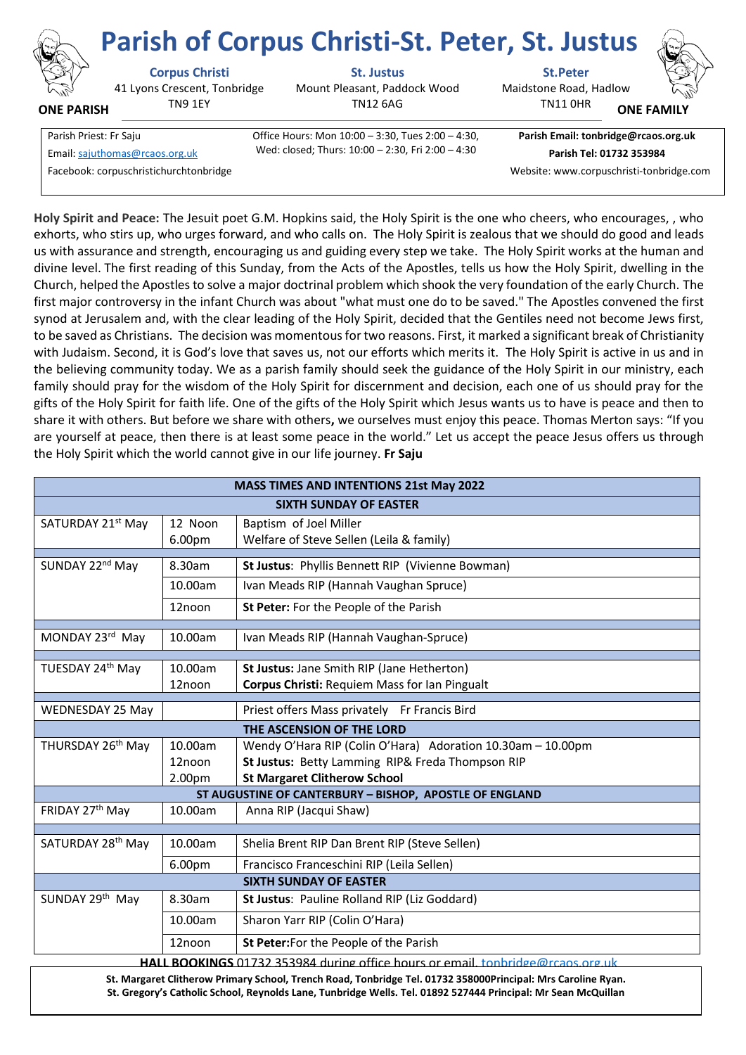

**ONE PARISH**

41 Lyons Crescent, Tonbridge TN9 1EY

**Corpus Christi St. Justus St.Peter**

Mount Pleasant, Paddock Wood TN12 6AG

Maidstone Road, Hadlow **Parish of Corpus Christi-St. Peter, St. Justus**

TN11 0HR

**ONE FAMIL** 

Parish Priest: Fr Saju Office Hours: Mon 10:00 – 3:30, Tues 2:00 – 4:30, Wed: closed; Thurs: 10:00 – 2:30, Fri 2:00 – 4:30 Email[: sajuthomas@rcaos.org.uk](about:blank) **Parish Tel: 01732 353984**

**Parish Email: tonbridge@rcaos.org.uk**

Facebook: corpuschristichurchtonbridge Website: www.corpuschristi-tonbridge.com

**Holy Spirit and Peace:** The Jesuit poet G.M. Hopkins said, the Holy Spirit is the one who cheers, who encourages, , who exhorts, who stirs up, who urges forward, and who calls on. The Holy Spirit is zealous that we should do good and leads us with assurance and strength, encouraging us and guiding every step we take. The Holy Spirit works at the human and divine level. The first reading of this Sunday, from the Acts of the Apostles, tells us how the Holy Spirit, dwelling in the Church, helped the Apostles to solve a major doctrinal problem which shook the very foundation of the early Church. The first major controversy in the infant Church was about "what must one do to be saved." The Apostles convened the first synod at Jerusalem and, with the clear leading of the Holy Spirit, decided that the Gentiles need not become Jews first, to be saved as Christians. The decision was momentous for two reasons. First, it marked a significant break of Christianity with Judaism. Second, it is God's love that saves us, not our efforts which merits it. The Holy Spirit is active in us and in the believing community today. We as a parish family should seek the guidance of the Holy Spirit in our ministry, each family should pray for the wisdom of the Holy Spirit for discernment and decision, each one of us should pray for the gifts of the Holy Spirit for faith life. One of the gifts of the Holy Spirit which Jesus wants us to have is peace and then to share it with others. But before we share with others**,** we ourselves must enjoy this peace. Thomas Merton says: "If you are yourself at peace, then there is at least some peace in the world." Let us accept the peace Jesus offers us through the Holy Spirit which the world cannot give in our life journey. **Fr Saju**

| <b>MASS TIMES AND INTENTIONS 21st May 2022</b>                                  |         |                                                             |
|---------------------------------------------------------------------------------|---------|-------------------------------------------------------------|
| <b>SIXTH SUNDAY OF EASTER</b>                                                   |         |                                                             |
| SATURDAY 21st May                                                               | 12 Noon | Baptism of Joel Miller                                      |
|                                                                                 | 6.00pm  | Welfare of Steve Sellen (Leila & family)                    |
| SUNDAY 22 <sup>nd</sup> May                                                     | 8.30am  | St Justus: Phyllis Bennett RIP (Vivienne Bowman)            |
|                                                                                 | 10.00am | Ivan Meads RIP (Hannah Vaughan Spruce)                      |
|                                                                                 | 12noon  | St Peter: For the People of the Parish                      |
| MONDAY 23rd May                                                                 | 10.00am | Ivan Meads RIP (Hannah Vaughan-Spruce)                      |
|                                                                                 |         |                                                             |
| TUESDAY 24th May                                                                | 10.00am | St Justus: Jane Smith RIP (Jane Hetherton)                  |
|                                                                                 | 12noon  | Corpus Christi: Requiem Mass for lan Pingualt               |
| <b>WEDNESDAY 25 May</b>                                                         |         | Priest offers Mass privately Fr Francis Bird                |
| THE ASCENSION OF THE LORD                                                       |         |                                                             |
| THURSDAY 26 <sup>th</sup> May                                                   | 10.00am | Wendy O'Hara RIP (Colin O'Hara) Adoration 10.30am - 10.00pm |
|                                                                                 | 12noon  | St Justus: Betty Lamming RIP& Freda Thompson RIP            |
|                                                                                 | 2.00pm  | <b>St Margaret Clitherow School</b>                         |
| ST AUGUSTINE OF CANTERBURY - BISHOP, APOSTLE OF ENGLAND                         |         |                                                             |
| FRIDAY 27th May                                                                 | 10.00am | Anna RIP (Jacqui Shaw)                                      |
| SATURDAY 28 <sup>th</sup> May                                                   | 10.00am | Shelia Brent RIP Dan Brent RIP (Steve Sellen)               |
|                                                                                 | 6.00pm  | Francisco Franceschini RIP (Leila Sellen)                   |
| <b>SIXTH SUNDAY OF EASTER</b>                                                   |         |                                                             |
| SUNDAY 29th May                                                                 | 8.30am  | St Justus: Pauline Rolland RIP (Liz Goddard)                |
|                                                                                 | 10.00am | Sharon Yarr RIP (Colin O'Hara)                              |
|                                                                                 | 12noon  | St Peter: For the People of the Parish                      |
| HALL BOOKINGS 01732 353984 during office hours or email, tonbridge@rcaos.org.uk |         |                                                             |

**St. Margaret Clitherow Primary School, Trench Road, Tonbridge Tel. 01732 358000Principal: Mrs Caroline Ryan. St. Gregory's Catholic School, Reynolds Lane, Tunbridge Wells. Tel. 01892 527444 Principal: Mr Sean McQuillan**